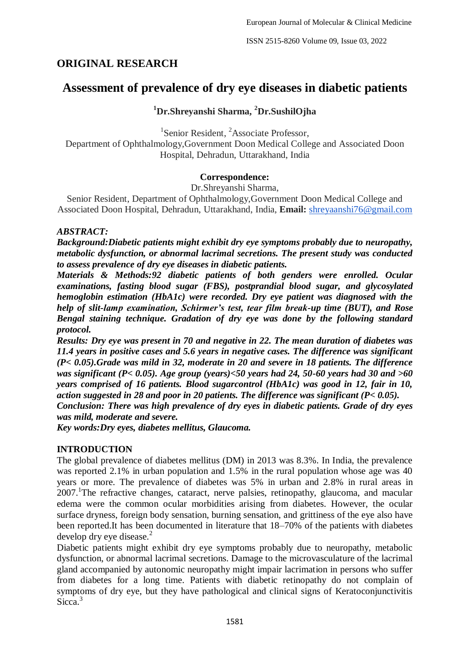ISSN 2515-8260 Volume 09, Issue 03, 2022

# **ORIGINAL RESEARCH**

# **Assessment of prevalence of dry eye diseases in diabetic patients**

# **<sup>1</sup>Dr.Shreyanshi Sharma, <sup>2</sup>Dr.SushilOjha**

<sup>1</sup>Senior Resident, <sup>2</sup>Associate Professor, Department of Ophthalmology,Government Doon Medical College and Associated Doon Hospital, Dehradun, Uttarakhand, India

## **Correspondence:**

Dr.Shreyanshi Sharma,

Senior Resident, Department of Ophthalmology,Government Doon Medical College and Associated Doon Hospital, Dehradun, Uttarakhand, India, **Email:** [shreyaanshi76@gmail.com](mailto:shreyaanshi76@gmail.com)

## *ABSTRACT:*

*Background:Diabetic patients might exhibit dry eye symptoms probably due to neuropathy, metabolic dysfunction, or abnormal lacrimal secretions. The present study was conducted to assess prevalence of dry eye diseases in diabetic patients.*

*Materials & Methods:92 diabetic patients of both genders were enrolled. Ocular examinations, fasting blood sugar (FBS), postprandial blood sugar, and glycosylated hemoglobin estimation (HbA1c) were recorded. Dry eye patient was diagnosed with the help of slit-lamp examination, Schirmer's test, tear film break-up time (BUT), and Rose Bengal staining technique. Gradation of dry eye was done by the following standard protocol.*

*Results: Dry eye was present in 70 and negative in 22. The mean duration of diabetes was 11.4 years in positive cases and 5.6 years in negative cases. The difference was significant (P< 0.05).Grade was mild in 32, moderate in 20 and severe in 18 patients. The difference was significant (P< 0.05). Age group (years)<50 years had 24, 50-60 years had 30 and >60 years comprised of 16 patients. Blood sugarcontrol (HbA1c) was good in 12, fair in 10, action suggested in 28 and poor in 20 patients. The difference was significant (P< 0.05).*

*Conclusion: There was high prevalence of dry eyes in diabetic patients. Grade of dry eyes was mild, moderate and severe.*

*Key words:Dry eyes, diabetes mellitus, Glaucoma.*

# **INTRODUCTION**

The global prevalence of diabetes mellitus (DM) in 2013 was 8.3%. In India, the prevalence was reported 2.1% in urban population and 1.5% in the rural population whose age was 40 years or more. The prevalence of diabetes was 5% in urban and 2.8% in rural areas in 2007. The refractive changes, cataract, nerve palsies, retinopathy, glaucoma, and macular edema were the common ocular morbidities arising from diabetes. However, the ocular surface dryness, foreign body sensation, burning sensation, and grittiness of the eye also have been reported.It has been documented in literature that 18–70% of the patients with diabetes develop dry eye disease. $2$ 

Diabetic patients might exhibit dry eye symptoms probably due to neuropathy, metabolic dysfunction, or abnormal lacrimal secretions. Damage to the microvasculature of the lacrimal gland accompanied by autonomic neuropathy might impair lacrimation in persons who suffer from diabetes for a long time. Patients with diabetic retinopathy do not complain of symptoms of dry eye, but they have pathological and clinical signs of Keratoconjunctivitis Sicca.<sup>3</sup>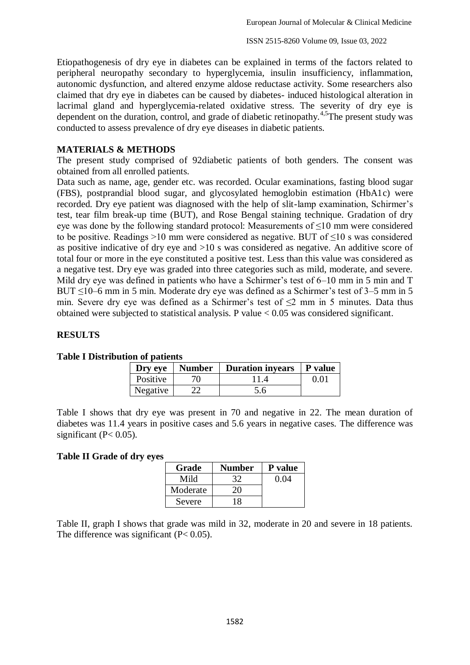Etiopathogenesis of dry eye in diabetes can be explained in terms of the factors related to peripheral neuropathy secondary to hyperglycemia, insulin insufficiency, inflammation, autonomic dysfunction, and altered enzyme aldose reductase activity. Some researchers also claimed that dry eye in diabetes can be caused by diabetes- induced histological alteration in lacrimal gland and hyperglycemia-related oxidative stress. The severity of dry eye is dependent on the duration, control, and grade of diabetic retinopathy.<sup>4,5</sup>The present study was conducted to assess prevalence of dry eye diseases in diabetic patients.

### **MATERIALS & METHODS**

The present study comprised of 92diabetic patients of both genders. The consent was obtained from all enrolled patients.

Data such as name, age, gender etc. was recorded. Ocular examinations, fasting blood sugar (FBS), postprandial blood sugar, and glycosylated hemoglobin estimation (HbA1c) were recorded. Dry eye patient was diagnosed with the help of slit-lamp examination, Schirmer's test, tear film break-up time (BUT), and Rose Bengal staining technique. Gradation of dry eye was done by the following standard protocol: Measurements of ≤10 mm were considered to be positive. Readings >10 mm were considered as negative. BUT of ≤10 s was considered as positive indicative of dry eye and >10 s was considered as negative. An additive score of total four or more in the eye constituted a positive test. Less than this value was considered as a negative test. Dry eye was graded into three categories such as mild, moderate, and severe. Mild dry eye was defined in patients who have a Schirmer's test of 6–10 mm in 5 min and T BUT  $\leq$ 10–6 mm in 5 min. Moderate dry eye was defined as a Schirmer's test of 3–5 mm in 5 min. Severe dry eye was defined as a Schirmer's test of  $\leq$ 2 mm in 5 minutes. Data thus obtained were subjected to statistical analysis. P value < 0.05 was considered significant.

## **RESULTS**

| wu vi pauchto | Dry eye   Number | <b>Duration invears</b> | $\mathbf P$ value |
|---------------|------------------|-------------------------|-------------------|
| Positive      |                  |                         | 0.01              |
| Negative      |                  |                         |                   |

#### **Table I Distribution of patients**

Table I shows that dry eye was present in 70 and negative in 22. The mean duration of diabetes was 11.4 years in positive cases and 5.6 years in negative cases. The difference was significant ( $P < 0.05$ ).

#### **Table II Grade of dry eyes**

| Grade    | Number | P value |
|----------|--------|---------|
| Mild     |        | 0.04    |
| Moderate |        |         |
| Severe   |        |         |

Table II, graph I shows that grade was mild in 32, moderate in 20 and severe in 18 patients. The difference was significant  $(P< 0.05)$ .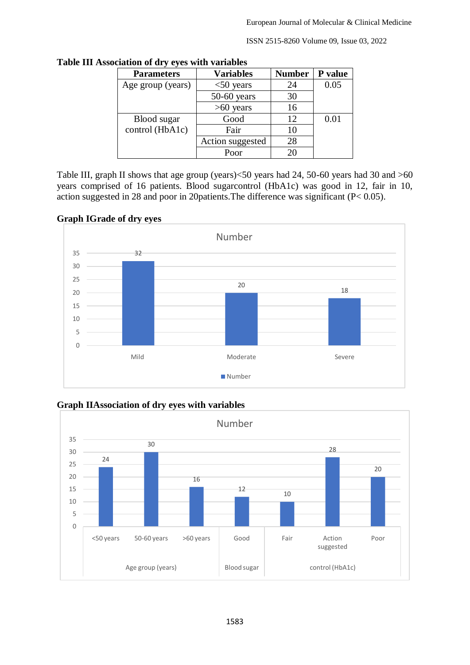ISSN 2515-8260 Volume 09, Issue 03, 2022

| <b>Parameters</b> | <b>Variables</b> | <b>Number</b> | P value |
|-------------------|------------------|---------------|---------|
| Age group (years) | $<$ 50 years     | 24            | 0.05    |
|                   | $50-60$ years    | 30            |         |
|                   | $>60$ years      | 16            |         |
| Blood sugar       | Good             | 12            | 0.01    |
| control (HbA1c)   | Fair             | 10            |         |
|                   | Action suggested | 28            |         |
|                   | Poor             |               |         |

**Table III Association of dry eyes with variables**

Table III, graph II shows that age group (years)<50 years had 24, 50-60 years had 30 and >60 years comprised of 16 patients. Blood sugarcontrol (HbA1c) was good in 12, fair in 10, action suggested in 28 and poor in 20patients.The difference was significant (P< 0.05).

## **Graph IGrade of dry eyes**



**Graph IIAssociation of dry eyes with variables**

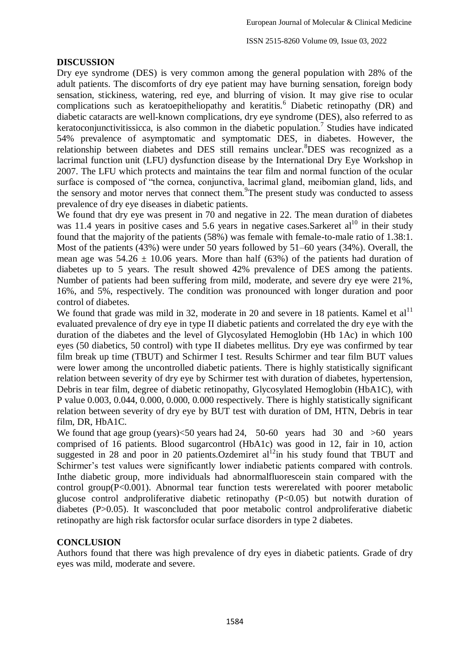ISSN 2515-8260 Volume 09, Issue 03, 2022

### **DISCUSSION**

Dry eye syndrome (DES) is very common among the general population with 28% of the adult patients. The discomforts of dry eye patient may have burning sensation, foreign body sensation, stickiness, watering, red eye, and blurring of vision. It may give rise to ocular complications such as keratoepitheliopathy and keratitis.<sup>6</sup> Diabetic retinopathy (DR) and diabetic cataracts are well-known complications, dry eye syndrome (DES), also referred to as keratoconjunctivitissicca, is also common in the diabetic population.<sup>7</sup> Studies have indicated 54% prevalence of asymptomatic and symptomatic DES, in diabetes. However, the relationship between diabetes and DES still remains unclear.<sup>8</sup>DES was recognized as a lacrimal function unit (LFU) dysfunction disease by the International Dry Eye Workshop in 2007. The LFU which protects and maintains the tear film and normal function of the ocular surface is composed of "the cornea, conjunctiva, lacrimal gland, meibomian gland, lids, and the sensory and motor nerves that connect them.<sup>9</sup>The present study was conducted to assess prevalence of dry eye diseases in diabetic patients.

We found that dry eye was present in 70 and negative in 22. The mean duration of diabetes was 11.4 years in positive cases and 5.6 years in negative cases. Sarkeret  $al^{10}$  in their study found that the majority of the patients (58%) was female with female-to-male ratio of 1.38:1. Most of the patients (43%) were under 50 years followed by 51–60 years (34%). Overall, the mean age was  $54.26 \pm 10.06$  years. More than half (63%) of the patients had duration of diabetes up to 5 years. The result showed 42% prevalence of DES among the patients. Number of patients had been suffering from mild, moderate, and severe dry eye were 21%, 16%, and 5%, respectively. The condition was pronounced with longer duration and poor control of diabetes.

We found that grade was mild in 32, moderate in 20 and severe in 18 patients. Kamel et  $al<sup>11</sup>$ evaluated prevalence of dry eye in type II diabetic patients and correlated the dry eye with the duration of the diabetes and the level of Glycosylated Hemoglobin (Hb 1Ac) in which 100 eyes (50 diabetics, 50 control) with type II diabetes mellitus. Dry eye was confirmed by tear film break up time (TBUT) and Schirmer I test. Results Schirmer and tear film BUT values were lower among the uncontrolled diabetic patients. There is highly statistically significant relation between severity of dry eye by Schirmer test with duration of diabetes, hypertension, Debris in tear film, degree of diabetic retinopathy, Glycosylated Hemoglobin (HbA1C), with P value 0.003, 0.044, 0.000, 0.000, 0.000 respectively. There is highly statistically significant relation between severity of dry eye by BUT test with duration of DM, HTN, Debris in tear film, DR, HbA1C.

We found that age group (years)<50 years had 24, 50-60 years had 30 and >60 years comprised of 16 patients. Blood sugarcontrol (HbA1c) was good in 12, fair in 10, action suggested in 28 and poor in 20 patients. Ozdemiret  $al<sup>12</sup>$ in his study found that TBUT and Schirmer's test values were significantly lower indiabetic patients compared with controls. Inthe diabetic group, more individuals had abnormalfluorescein stain compared with the control group( $P<0.001$ ). Abnormal tear function tests were related with poorer metabolic glucose control andproliferative diabetic retinopathy (P<0.05) but notwith duration of diabetes (P>0.05). It wasconcluded that poor metabolic control andproliferative diabetic retinopathy are high risk factorsfor ocular surface disorders in type 2 diabetes.

## **CONCLUSION**

Authors found that there was high prevalence of dry eyes in diabetic patients. Grade of dry eyes was mild, moderate and severe.